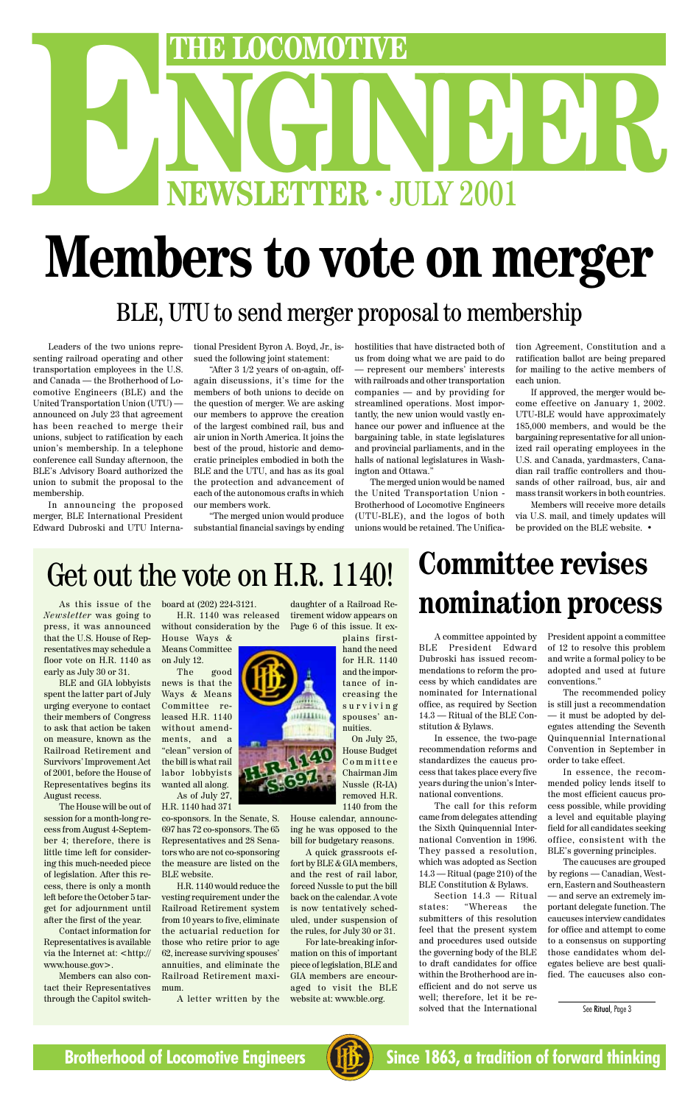# **NGCOMOTIVE<br>
NGCOMOTIVE<br>
EWSLETTER · JULY 2001 ENEWSLETTER · JULY 2001**

# **Members to vote on merger**

### **Committee revises nomination process**

A committee appointed by BLE President Edward Dubroski has issued recommendations to reform the process by which candidates are nominated for International office, as required by Section 14.3 — Ritual of the BLE Constitution & Bylaws.

In essence, the two-page recommendation reforms and standardizes the caucus process that takes place every five years during the union's International conventions.

The call for this reform

came from delegates attending the Sixth Quinquennial International Convention in 1996. They passed a resolution, which was adopted as Section 14.3 — Ritual (page 210) of the BLE Constitution & Bylaws.

Section 14.3 — Ritual states: "Whereas the submitters of this resolution feel that the present system and procedures used outside the governing body of the BLE to draft candidates for office within the Brotherhood are inefficient and do not serve us well; therefore, let it be resolved that the International

President appoint a committee of 12 to resolve this problem and write a formal policy to be adopted and used at future conventions."

The recommended policy is still just a recommendation — it must be adopted by delegates attending the Seventh Quinquennial International Convention in September in order to take effect.

In essence, the recommended policy lends itself to the most efficient caucus process possible, while providing a level and equitable playing field for all candidates seeking office, consistent with the BLE's governing principles. The caucuses are grouped by regions — Canadian, Western, Eastern and Southeastern — and serve an extremely important delegate function. The caucuses interview candidates for office and attempt to come to a consensus on supporting those candidates whom delegates believe are best qualified. The caucuses also con-



See Ritual, Page 3



BLE, UTU to send merger proposal to membership

Leaders of the two unions representing railroad operating and other transportation employees in the U.S. and Canada — the Brotherhood of Locomotive Engineers (BLE) and the United Transportation Union (UTU) announced on July 23 that agreement has been reached to merge their unions, subject to ratification by each union's membership. In a telephone conference call Sunday afternoon, the BLE's Advisory Board authorized the union to submit the proposal to the membership.

In announcing the proposed merger, BLE International President Edward Dubroski and UTU International President Byron A. Boyd, Jr., issued the following joint statement:

"After 3 1/2 years of on-again, offagain discussions, it's time for the members of both unions to decide on the question of merger. We are asking our members to approve the creation of the largest combined rail, bus and air union in North America. It joins the best of the proud, historic and democratic principles embodied in both the BLE and the UTU, and has as its goal the protection and advancement of each of the autonomous crafts in which our members work.

"The merged union would produce substantial financial savings by ending

hostilities that have distracted both of us from doing what we are paid to do — represent our members' interests with railroads and other transportation companies — and by providing for streamlined operations. Most importantly, the new union would vastly enhance our power and influence at the bargaining table, in state legislatures and provincial parliaments, and in the halls of national legislatures in Washington and Ottawa."

The merged union would be named the United Transportation Union - Brotherhood of Locomotive Engineers (UTU-BLE), and the logos of both unions would be retained. The Unification Agreement, Constitution and a ratification ballot are being prepared for mailing to the active members of each union.

If approved, the merger would become effective on January 1, 2002. UTU-BLE would have approximately 185,000 members, and would be the bargaining representative for all unionized rail operating employees in the U.S. and Canada, yardmasters, Canadian rail traffic controllers and thousands of other railroad, bus, air and mass transit workers in both countries.

Members will receive more details via U.S. mail, and timely updates will be provided on the BLE website. •

As this issue of the *Newsletter* was going to press, it was announced that the U.S. House of Representatives may schedule a floor vote on H.R. 1140 as early as July 30 or 31.

BLE and GIA lobbyists spent the latter part of July urging everyone to contact their members of Congress to ask that action be taken on measure, known as the Railroad Retirement and Survivors' Improvement Act of 2001, before the House of Representatives begins its August recess.

session for a month-long recess from August 4-September 4; therefore, there is little time left for considering this much-needed piece of legislation. After this recess, there is only a month left before the October 5 target for adjournment until after the first of the year.

Contact information for Representatives is available via the Internet at: <http:// www.house.gov>.

The House will be out of H.R. 1140 had 371

Members can also contact their Representatives through the Capitol switchboard at (202) 224-3121.

H.R. 1140 was released without consideration by the

House Ways & Means Committee on July 12.

The good news is that the Ways & Means Committee released H.R. 1140 without amendments, and a "clean" version of the bill is what rail labor lobbyists wanted all along. As of July 27,

co-sponsors. In the Senate, S. 697 has 72 co-sponsors. The 65 Representatives and 28 Senators who are not co-sponsoring the measure are listed on the BLE website.

H.R. 1140 would reduce the vesting requirement under the Railroad Retirement system from 10 years to five, eliminate the actuarial reduction for those who retire prior to age 62, increase surviving spouses' annuities, and eliminate the Railroad Retirement maximum.

A letter written by the

daughter of a Railroad Retirement widow appears on Page 6 of this issue. It ex-

> plains firsthand the need for H.R. 1140 and the importance of increasing the surviving spouses' annuities.

On July 25, House Budget Committee Chairman Jim Nussle (R-IA) removed H.R. 1140 from the

House calendar, announcing he was opposed to the bill for budgetary reasons.

A quick grassroots effort by BLE & GIA members, and the rest of rail labor, forced Nussle to put the bill back on the calendar. A vote is now tentatively scheduled, under suspension of the rules, for July 30 or 31.

For late-breaking information on this of important piece of legislation, BLE and GIA members are encouraged to visit the BLE website at: www.ble.org.

Get out the vote on H.R. 1140!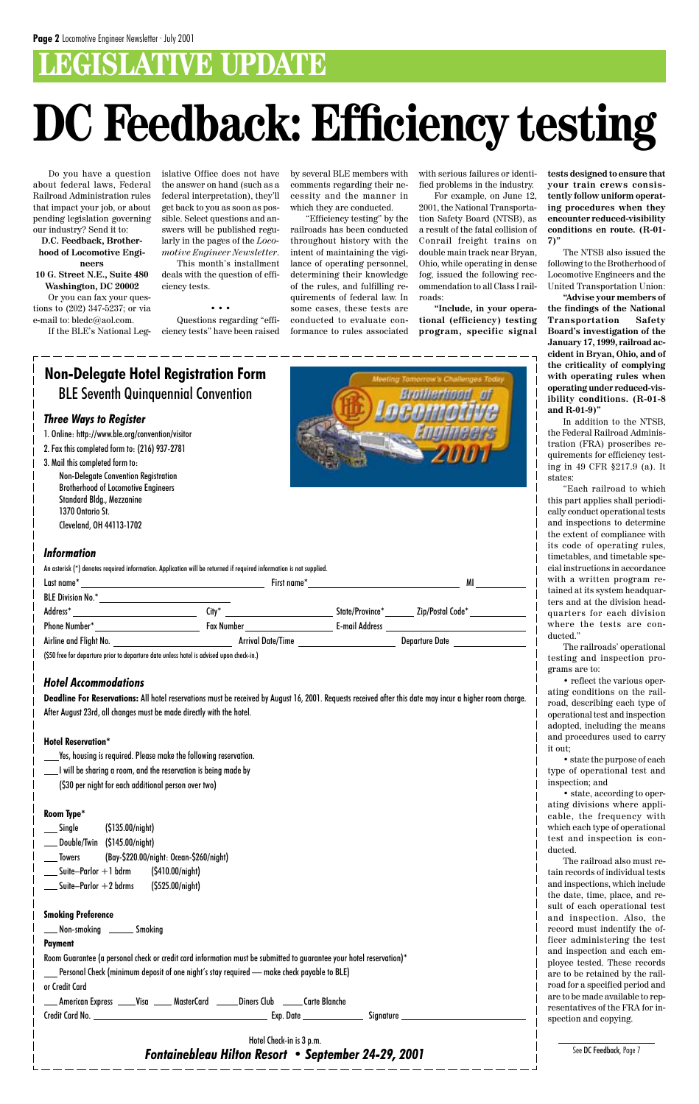### **LEGISLATIVE UPDATE**

Do you have a question about federal laws, Federal Railroad Administration rules that impact your job, or about pending legislation governing our industry? Send it to:

**D.C. Feedback, Brotherhood of Locomotive Engineers**

**10 G. Street N.E., Suite 480 Washington, DC 20002** Or you can fax your questions to (202) 347-5237; or via e-mail to: bledc@aol.com.

If the BLE's National Leg-

islative Office does not have the answer on hand (such as a federal interpretation), they'll get back to you as soon as possible. Select questions and answers will be published regularly in the pages of the *Locomotive Engineer Newsletter*.

This month's installment deals with the question of efficiency tests.

#### • • •

Questions regarding "efficiency tests" have been raised

by several BLE members with comments regarding their necessity and the manner in which they are conducted.

"Efficiency testing" by the railroads has been conducted throughout history with the intent of maintaining the vigilance of operating personnel, determining their knowledge of the rules, and fulfilling requirements of federal law. In some cases, these tests are conducted to evaluate conformance to rules associated

with serious failures or identified problems in the industry.

Towers (Bay-\$220.00/night: Ocean-\$260/night) Suite–Parlor  $+1$  bdrm (\$410.00/night)

For example, on June 12, 2001, the National Transportation Safety Board (NTSB), as a result of the fatal collision of Conrail freight trains on double main track near Bryan, Ohio, while operating in dense fog, issued the following recommendation to all Class I railroads:

Room Guarantee (a personal check or credit card information must be submitted to guarantee your hotel reservation)\* Personal Check (minimum deposit of one night's stay required - make check payable to BLE)

**"Include, in your operational (efficiency) testing program, specific signal**

# **DC Feedback: Efficiency testing**

2. Fax this completed form to: (216) 937-2781

3. Mail this completed form to: Non-Delegate Convention Registration Brotherhood of Locomotive Engineers Standard Bldg., Mezzanine 1370 Ontario St. Cleveland, OH 44113-1702

#### *Information*

An asterisk (\*) denotes required information. Application will be returned if required information is not supplied.

| Last name*                                                                                         | First name*              |                       | MI                    |
|----------------------------------------------------------------------------------------------------|--------------------------|-----------------------|-----------------------|
| <b>BLE Division No.*</b>                                                                           |                          |                       |                       |
| Address*                                                                                           | City*                    | State/Province*       | Zip/Postal Code*      |
| <b>Phone Number*</b>                                                                               | <b>Fax Number</b>        | <b>E-mail Address</b> |                       |
| Airline and Flight No.                                                                             | <b>Arrival Date/Time</b> |                       | <b>Departure Date</b> |
| $\ell$ CEO free for departure prior to departure date unless hotel is advised upon sheek in $\ell$ |                          |                       |                       |

(\$50 free for departure prior to departure date unless hotel is advised upon check-in.)

#### *Hotel Accommodations*

**Deadline For Reservations:** All hotel reservations must be received by August 16, 2001. Requests received after this date may incur a higher room charge. After August 23rd, all changes must be made directly with the hotel.

*Three Ways to Register* 1. Online: http://www.ble.org/convention/visitor **Non-Delegate Hotel Registration Form** BLE Seventh Quinquennial Convention

#### **Hotel Reservation\***

- Yes, housing is required. Please make the following reservation.
- I will be sharing a room, and the reservation is being made by
	- (\$30 per night for each additional person over two)

#### **Room Type\***

Single (\$135.00/night)

Double/Twin (\$145.00/night)

Suite–Parlor +2 bdrms (\$525.00/night)

#### **Smoking Preference**

\_ Non-smoking \_\_\_\_\_\_\_ Smoking

#### **Payment**

or Credit Card

| <sub>–</sub> American Express<br>Visa | MasterCard | <sub>-</sub> Diners Club | _Carte Blanche |
|---------------------------------------|------------|--------------------------|----------------|
|---------------------------------------|------------|--------------------------|----------------|

Credit Card No. Exp. Date Signature

Hotel Check-in is 3 p.m. *Fontainebleau Hilton Resort • September 24-29, 2001* **tests designed to ensure that your train crews consistently follow uniform operating procedures when they encounter reduced-visibility conditions en route. (R-01-**

**7)"**

The NTSB also issued the following to the Brotherhood of Locomotive Engineers and the United Transportation Union: **"Advise your members of the findings of the National Transportation Safety Board's investigation of the January 17, 1999, railroad accident in Bryan, Ohio, and of the criticality of complying with operating rules when operating under reduced-visibility conditions. (R-01-8**

**and R-01-9)"**

In addition to the NTSB, the Federal Railroad Administration (FRA) proscribes requirements for efficiency testing in 49 CFR §217.9 (a). It

states:

"Each railroad to which this part applies shall periodically conduct operational tests and inspections to determine the extent of compliance with its code of operating rules, timetables, and timetable special instructions in accordance with a written program retained at its system headquarters and at the division headquarters for each division where the tests are con-

ducted."

The railroads' operational testing and inspection pro-

grams are to:

• reflect the various operating conditions on the railroad, describing each type of operational test and inspection adopted, including the means and procedures used to carry

it out;

• state the purpose of each type of operational test and

inspection; and • state, according to operating divisions where appli-

cable, the frequency with which each type of operational test and inspection is conducted.

The railroad also must retain records of individual tests and inspections, which include the date, time, place, and result of each operational test and inspection. Also, the record must indentify the officer administering the test and inspection and each employee tested. These records are to be retained by the railroad for a specified period and are to be made available to representatives of the FRA for inspection and copying.

See DC Feedback, Page 7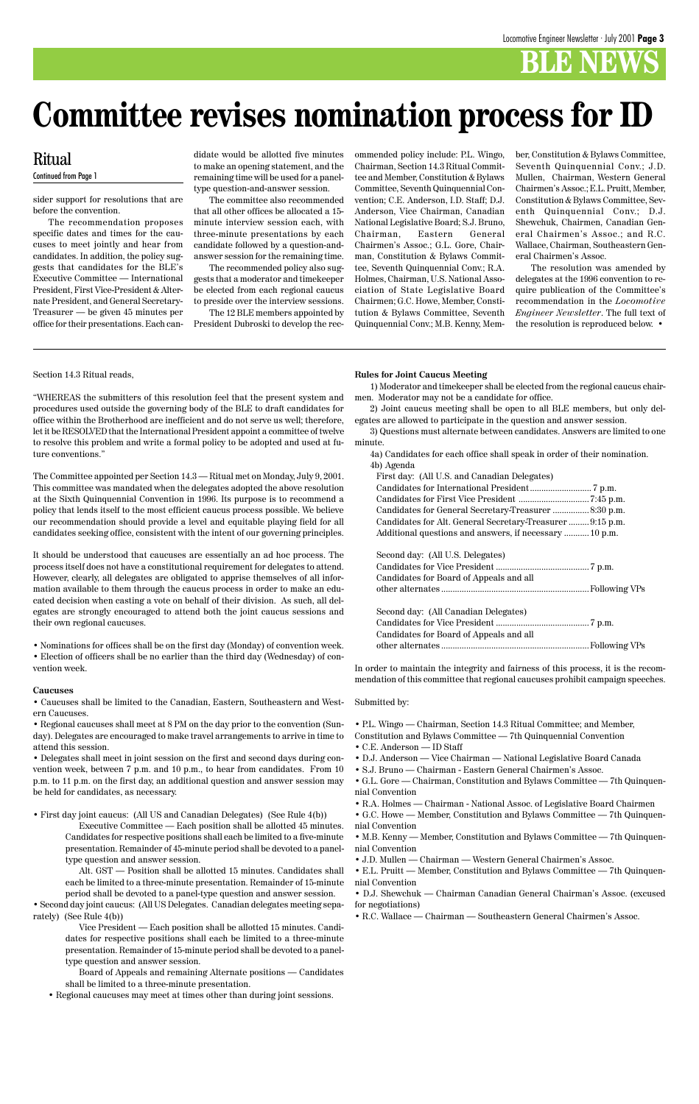### **BLE NEWS**

sider support for resolutions that are before the convention.

The recommendation proposes specific dates and times for the caucuses to meet jointly and hear from candidates. In addition, the policy suggests that candidates for the BLE's Executive Committee — International President, First Vice-President & Alternate President, and General Secretary-Treasurer — be given 45 minutes per office for their presentations. Each candidate would be allotted five minutes to make an opening statement, and the remaining time will be used for a paneltype question-and-answer session.

The committee also recommended that all other offices be allocated a 15 minute interview session each, with three-minute presentations by each candidate followed by a question-andanswer session for the remaining time.

The recommended policy also suggests that a moderator and timekeeper be elected from each regional caucus to preside over the interview sessions.

The 12 BLE members appointed by President Dubroski to develop the recommended policy include: P.L. Wingo, Chairman, Section 14.3 Ritual Committee and Member, Constitution & Bylaws Committee, Seventh Quinquennial Convention; C.E. Anderson, I.D. Staff; D.J. Anderson, Vice Chairman, Canadian National Legislative Board; S.J. Bruno, Chairman, Eastern General Chairmen's Assoc.; G.L. Gore, Chairman, Constitution & Bylaws Committee, Seventh Quinquennial Conv.; R.A. Holmes, Chairman, U.S. National Association of State Legislative Board Chairmen; G.C. Howe, Member, Constitution & Bylaws Committee, Seventh Quinquennial Conv.; M.B. Kenny, Member, Constitution & Bylaws Committee, Seventh Quinquennial Conv.; J.D. Mullen, Chairman, Western General Chairmen's Assoc.; E.L. Pruitt, Member, Constitution & Bylaws Committee, Seventh Quinquennial Conv.; D.J. Shewchuk, Chairmen, Canadian General Chairmen's Assoc.; and R.C. Wallace, Chairman, Southeastern General Chairmen's Assoc.

The resolution was amended by delegates at the 1996 convention to require publication of the Committee's recommendation in the *Locomotive Engineer Newsletter*. The full text of the resolution is reproduced below. •

Section 14.3 Ritual reads,

Executive Committee — Each position shall be allotted  $45$  minutes. Candidates for respective positions shall each be limited to a five-minute presentation. Remainder of 45-minute period shall be devoted to a paneltype question and answer session.

"WHEREAS the submitters of this resolution feel that the present system and procedures used outside the governing body of the BLE to draft candidates for office within the Brotherhood are inefficient and do not serve us well; therefore, let it be RESOLVED that the International President appoint a committee of twelve to resolve this problem and write a formal policy to be adopted and used at future conventions."

The Committee appointed per Section 14.3 — Ritual met on Monday, July 9, 2001. This committee was mandated when the delegates adopted the above resolution at the Sixth Quinquennial Convention in 1996. Its purpose is to recommend a policy that lends itself to the most efficient caucus process possible. We believe our recommendation should provide a level and equitable playing field for all candidates seeking office, consistent with the intent of our governing principles.

It should be understood that caucuses are essentially an ad hoc process. The process itself does not have a constitutional requirement for delegates to attend. However, clearly, all delegates are obligated to apprise themselves of all information available to them through the caucus process in order to make an educated decision when casting a vote on behalf of their division. As such, all delegates are strongly encouraged to attend both the joint caucus sessions and their own regional caucuses.

• Nominations for offices shall be on the first day (Monday) of convention week. • Election of officers shall be no earlier than the third day (Wednesday) of convention week.

#### **Caucuses**

• Caucuses shall be limited to the Canadian, Eastern, Southeastern and Western Caucuses.

• Regional caucuses shall meet at 8 PM on the day prior to the convention (Sunday). Delegates are encouraged to make travel arrangements to arrive in time to attend this session.

• Delegates shall meet in joint session on the first and second days during convention week, between 7 p.m. and 10 p.m., to hear from candidates. From 10 p.m. to 11 p.m. on the first day, an additional question and answer session may be held for candidates, as necessary.

• First day joint caucus: (All US and Canadian Delegates) (See Rule 4(b))

Alt. GST — Position shall be allotted 15 minutes. Candidates shall each be limited to a three-minute presentation. Remainder of 15-minute period shall be devoted to a panel-type question and answer session.

• Second day joint caucus: (All US Delegates. Canadian delegates meeting separately) (See Rule 4(b))

> Vice President — Each position shall be allotted 15 minutes. Candidates for respective positions shall each be limited to a three-minute presentation. Remainder of 15-minute period shall be devoted to a paneltype question and answer session.

> Board of Appeals and remaining Alternate positions — Candidates shall be limited to a three-minute presentation.

• Regional caucuses may meet at times other than during joint sessions.

### **Committee revises nomination process for ID**

#### Ritual Continued from Page 1

#### **Rules for Joint Caucus Meeting**

1) Moderator and timekeeper shall be elected from the regional caucus chairmen. Moderator may not be a candidate for office.

2) Joint caucus meeting shall be open to all BLE members, but only delegates are allowed to participate in the question and answer session.

3) Questions must alternate between candidates. Answers are limited to one minute.

4a) Candidates for each office shall speak in order of their nomination.

4b) Agenda First day: (All U.S. and Canadian Delegates)

| $1 \text{ m}$ and $\ldots$ and $\ldots$ and $\ldots$ and $\ldots$ |  |
|-------------------------------------------------------------------|--|
|                                                                   |  |
|                                                                   |  |
| Candidates for General Secretary-Treasurer  8:30 p.m.             |  |
| Candidates for Alt. General Secretary-Treasurer  9:15 p.m.        |  |
| Additional questions and answers, if necessary  10 p.m.           |  |

| Second day: (All U.S. Delegates)        |  |
|-----------------------------------------|--|
|                                         |  |
| Candidates for Board of Appeals and all |  |
|                                         |  |
|                                         |  |
| Second day: (All Canadian Delegates)    |  |
|                                         |  |
| Candidates for Board of Appeals and all |  |
|                                         |  |

In order to maintain the integrity and fairness of this process, it is the recommendation of this committee that regional caucuses prohibit campaign speeches.

#### Submitted by:

- P.L. Wingo Chairman, Section 14.3 Ritual Committee; and Member,
- Constitution and Bylaws Committee 7th Quinquennial Convention • C.E. Anderson — ID Staff
- D.J. Anderson Vice Chairman National Legislative Board Canada
- S.J. Bruno Chairman Eastern General Chairmen's Assoc.
- G.L. Gore Chairman, Constitution and Bylaws Committee 7th Quinquennial Convention
- R.A. Holmes Chairman National Assoc. of Legislative Board Chairmen

• G.C. Howe — Member, Constitution and Bylaws Committee — 7th Quinquennial Convention

• M.B. Kenny — Member, Constitution and Bylaws Committee — 7th Quinquennial Convention

- J.D. Mullen Chairman Western General Chairmen's Assoc.
- E.L. Pruitt Member, Constitution and Bylaws Committee 7th Quinquennial Convention
- D.J. Shewchuk Chairman Canadian General Chairman's Assoc. (excused for negotiations)
- R.C. Wallace Chairman Southeastern General Chairmen's Assoc.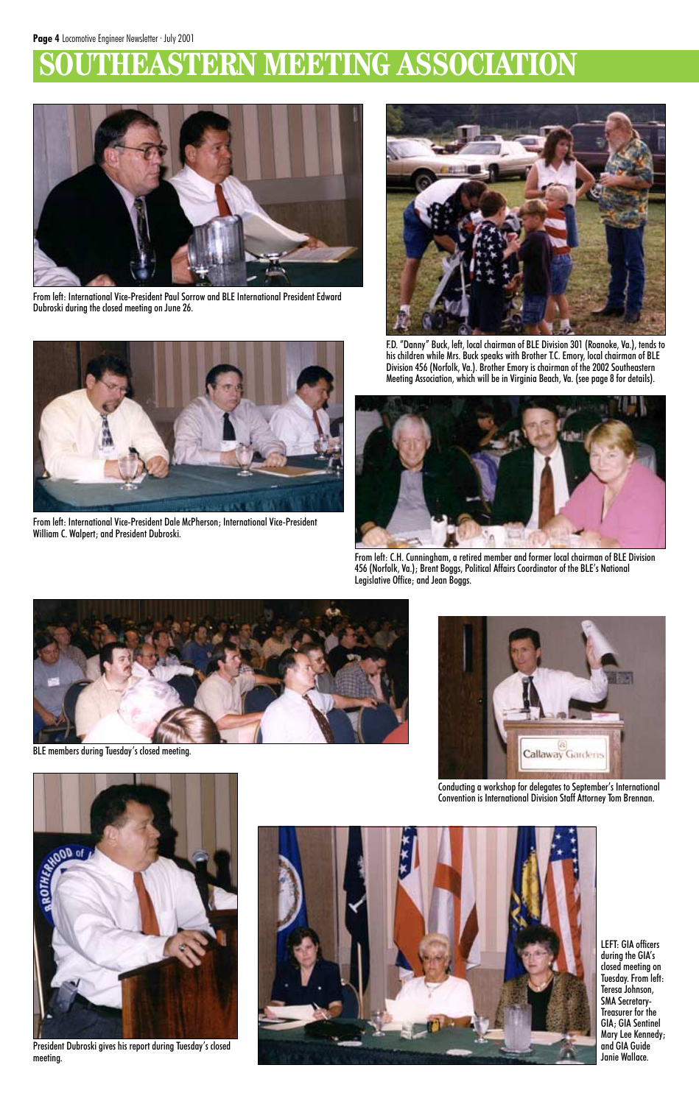### **SOUTHEASTERN MEETING ASSOCIATION**



From left: International Vice-President Paul Sorrow and BLE International President Edward Dubroski during the closed meeting on June 26.







From left: International Vice-President Dale McPherson; International Vice-President William C. Walpert; and President Dubroski.



From left: C.H. Cunningham, a retired member and former local chairman of BLE Division 456 (Norfolk, Va.); Brent Boggs, Political Affairs Coordinator of the BLE's National Legislative Office; and Jean Boggs.



Conducting a workshop for delegates to September's International Convention is International Division Staff Attorney Tom Brennan.



BLE members during Tuesday's closed meeting.



President Dubroski gives his report during Tuesday's closed meeting.



LEFT: GIA officers during the GIA's closed meeting on Tuesday. From left: Teresa Johnson, SMA Secretary-Treasurer for the GIA; GIA Sentinel Mary Lee Kennedy; and GIA Guide Janie Wallace.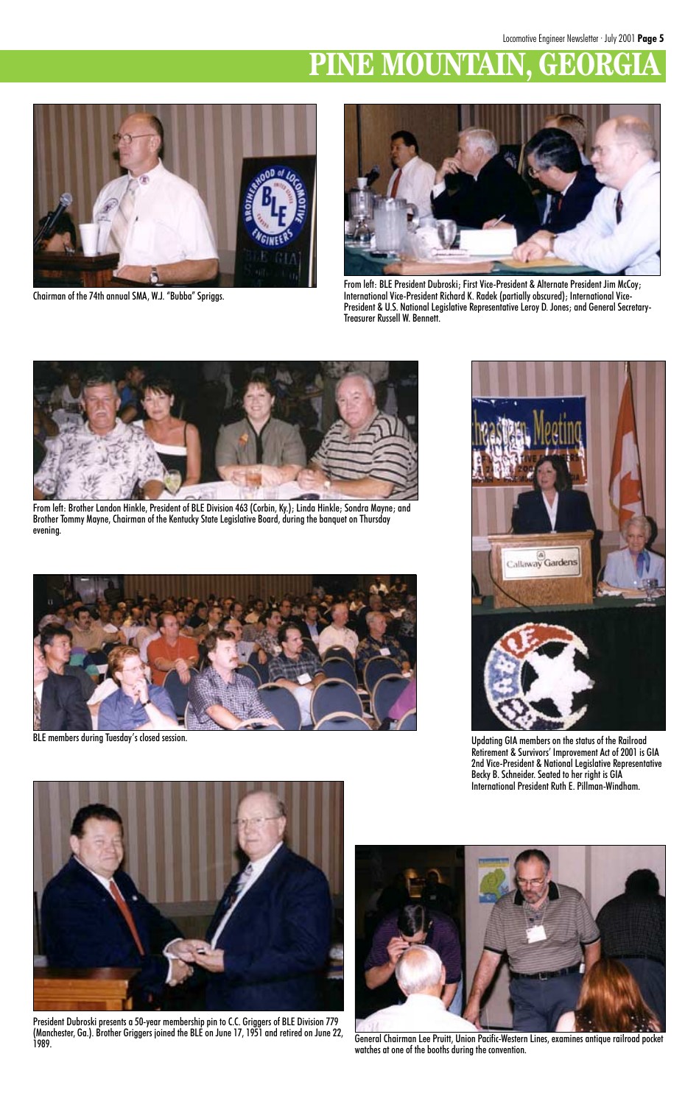### **PINE MOUNTAIN, GEORG**



Chairman of the 74th annual SMA, W.J. "Bubba" Spriggs.



From left: BLE President Dubroski; First Vice-President & Alternate President Jim McCoy; International Vice-President Richard K. Radek (partially obscured); International Vice-President & U.S. National Legislative Representative Leroy D. Jones; and General Secretary-Treasurer Russell W. Bennett.



From left: Brother Landon Hinkle, President of BLE Division 463 (Corbin, Ky.); Linda Hinkle; Sondra Mayne; and Brother Tommy Mayne, Chairman of the Kentucky State Legislative Board, during the banquet on Thursday evening.







BLE members during Tuesday's closed session. Updating GIA members on the status of the Railroad Retirement & Survivors' Improvement Act of 2001 is GIA 2nd Vice-President & National Legislative Representative Becky B. Schneider. Seated to her right is GIA International President Ruth E. Pillman-Windham.



President Dubroski presents a 50-year membership pin to C.C. Griggers of BLE Division 779 (Manchester, Ga.). Brother Griggers joined the BLE on June 17, 1951 and retired on June 22, 1989. General Chairman Lee Pruitt, Union Pacific-Western Lines, examines antique railroad pocket



watches at one of the booths during the convention.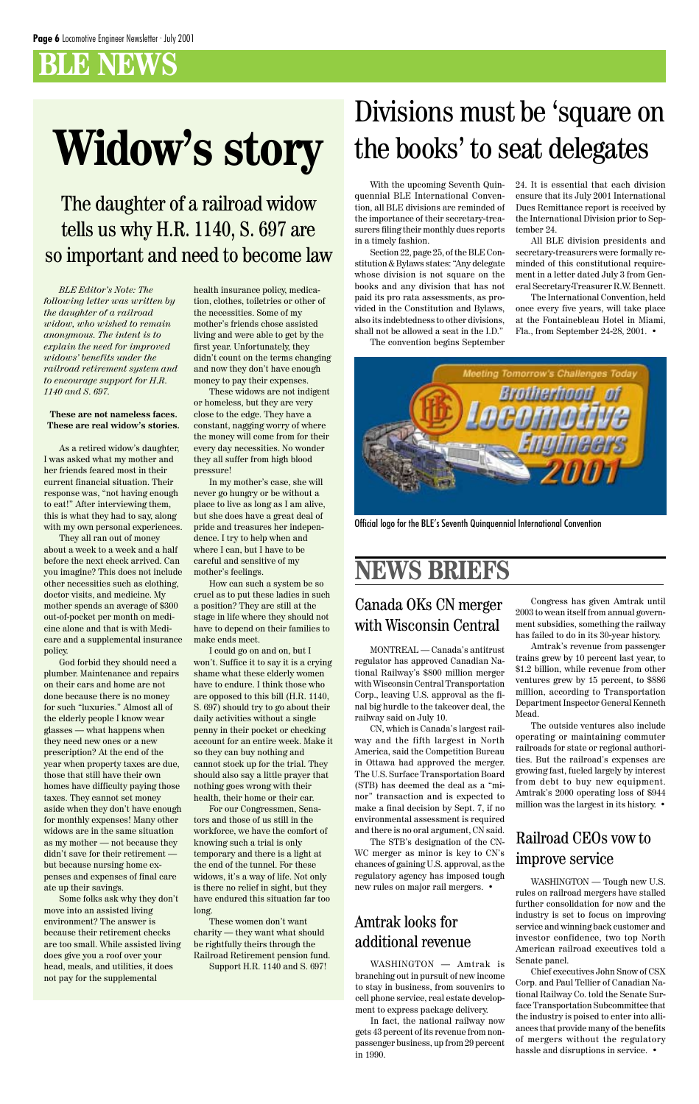### **BLE NEWS**

*BLE Editor's Note: The following letter was written by the daughter of a railroad widow, who wished to remain anonymous. The intent is to explain the need for improved widows' benefits under the railroad retirement system and to encourage support for H.R. 1140 and S. 697.*

#### **These are not nameless faces. These are real widow's stories.**

As a retired widow's daughter, I was asked what my mother and her friends feared most in their current financial situation. Their response was, "not having enough to eat!" After interviewing them, this is what they had to say, along with my own personal experiences.

They all ran out of money about a week to a week and a half before the next check arrived. Can you imagine? This does not include other necessities such as clothing, doctor visits, and medicine. My mother spends an average of \$300 out-of-pocket per month on medicine alone and that is with Medicare and a supplemental insurance policy.

God forbid they should need a plumber. Maintenance and repairs on their cars and home are not done because there is no money for such "luxuries." Almost all of the elderly people I know wear glasses — what happens when they need new ones or a new prescription? At the end of the year when property taxes are due, those that still have their own homes have difficulty paying those taxes. They cannot set money aside when they don't have enough for monthly expenses! Many other widows are in the same situation as my mother — not because they didn't save for their retirement but because nursing home expenses and expenses of final care ate up their savings. Some folks ask why they don't move into an assisted living environment? The answer is because their retirement checks are too small. While assisted living does give you a roof over your head, meals, and utilities, it does not pay for the supplemental

health insurance policy, medication, clothes, toiletries or other of the necessities. Some of my mother's friends chose assisted living and were able to get by the first year. Unfortunately, they didn't count on the terms changing and now they don't have enough money to pay their expenses.

These widows are not indigent or homeless, but they are very close to the edge. They have a constant, nagging worry of where the money will come from for their every day necessities. No wonder they all suffer from high blood pressure!

In my mother's case, she will never go hungry or be without a place to live as long as I am alive, but she does have a great deal of pride and treasures her independence. I try to help when and where I can, but I have to be careful and sensitive of my mother's feelings.

How can such a system be so cruel as to put these ladies in such a position? They are still at the stage in life where they should not have to depend on their families to make ends meet.

> The outside ventures also include operating or maintaining commuter railroads for state or regional authorities. But the railroad's expenses are growing fast, fueled largely by interest from debt to buy new equipment. Amtrak's 2000 operating loss of \$944 million was the largest in its history.  $\bullet$

I could go on and on, but I won't. Suffice it to say it is a crying shame what these elderly women have to endure. I think those who are opposed to this bill (H.R. 1140, S. 697) should try to go about their daily activities without a single penny in their pocket or checking account for an entire week. Make it so they can buy nothing and cannot stock up for the trial. They should also say a little prayer that nothing goes wrong with their health, their home or their car.

For our Congressmen, Sena-

tors and those of us still in the workforce, we have the comfort of knowing such a trial is only temporary and there is a light at the end of the tunnel. For these widows, it's a way of life. Not only is there no relief in sight, but they have endured this situation far too long.

These women don't want charity — they want what should be rightfully theirs through the Railroad Retirement pension fund. Support H.R. 1140 and S. 697!

# **Widow's story**

### The daughter of a railroad widow tells us why H.R. 1140, S. 697 are so important and need to become law

With the upcoming Seventh Quinquennial BLE International Convention, all BLE divisions are reminded of the importance of their secretary-treasurers filing their monthly dues reports in a timely fashion.

Section 22, page 25, of the BLE Constitution & Bylaws states: "Any delegate whose division is not square on the books and any division that has not paid its pro rata assessments, as provided in the Constitution and Bylaws, also its indebtedness to other divisions, shall not be allowed a seat in the I.D."

The convention begins September

24. It is essential that each division ensure that its July 2001 International Dues Remittance report is received by the International Division prior to September 24.

All BLE division presidents and secretary-treasurers were formally reminded of this constitutional requirement in a letter dated July 3 from General Secretary-Treasurer R.W. Bennett.

The International Convention, held once every five years, will take place at the Fontainebleau Hotel in Miami, Fla., from September 24-28, 2001. •

### Divisions must be 'square on the books' to seat delegates



Official logo for the BLE's Seventh Quinquennial International Convention

WASHINGTON — Amtrak is branching out in pursuit of new income to stay in business, from souvenirs to cell phone service, real estate development to express package delivery.

In fact, the national railway now gets 43 percent of its revenue from nonpassenger business, up from 29 percent in 1990.

Congress has given Amtrak until 2003 to wean itself from annual government subsidies, something the railway has failed to do in its 30-year history.

Amtrak's revenue from passenger trains grew by 10 percent last year, to \$1.2 billion, while revenue from other ventures grew by 15 percent, to \$886 million, according to Transportation Department Inspector General Kenneth Mead.

### **NEWS BRIEFS**

#### Canada OKs CN merger with Wisconsin Central

MONTREAL — Canada's antitrust regulator has approved Canadian National Railway's \$800 million merger with Wisconsin Central Transportation Corp., leaving U.S. approval as the final big hurdle to the takeover deal, the railway said on July 10.

CN, which is Canada's largest railway and the fifth largest in North America, said the Competition Bureau in Ottawa had approved the merger. The U.S. Surface Transportation Board (STB) has deemed the deal as a "minor" transaction and is expected to make a final decision by Sept. 7, if no environmental assessment is required and there is no oral argument, CN said. The STB's designation of the CN-WC merger as minor is key to CN's chances of gaining U.S. approval, as the regulatory agency has imposed tough new rules on major rail mergers. •

#### Amtrak looks for additional revenue

### Railroad CEOs vow to improve service

WASHINGTON — Tough new U.S. rules on railroad mergers have stalled further consolidation for now and the industry is set to focus on improving service and winning back customer and investor confidence, two top North American railroad executives told a Senate panel.

Chief executives John Snow of CSX Corp. and Paul Tellier of Canadian National Railway Co. told the Senate Surface Transportation Subcommittee that the industry is poised to enter into alliances that provide many of the benefits of mergers without the regulatory hassle and disruptions in service. •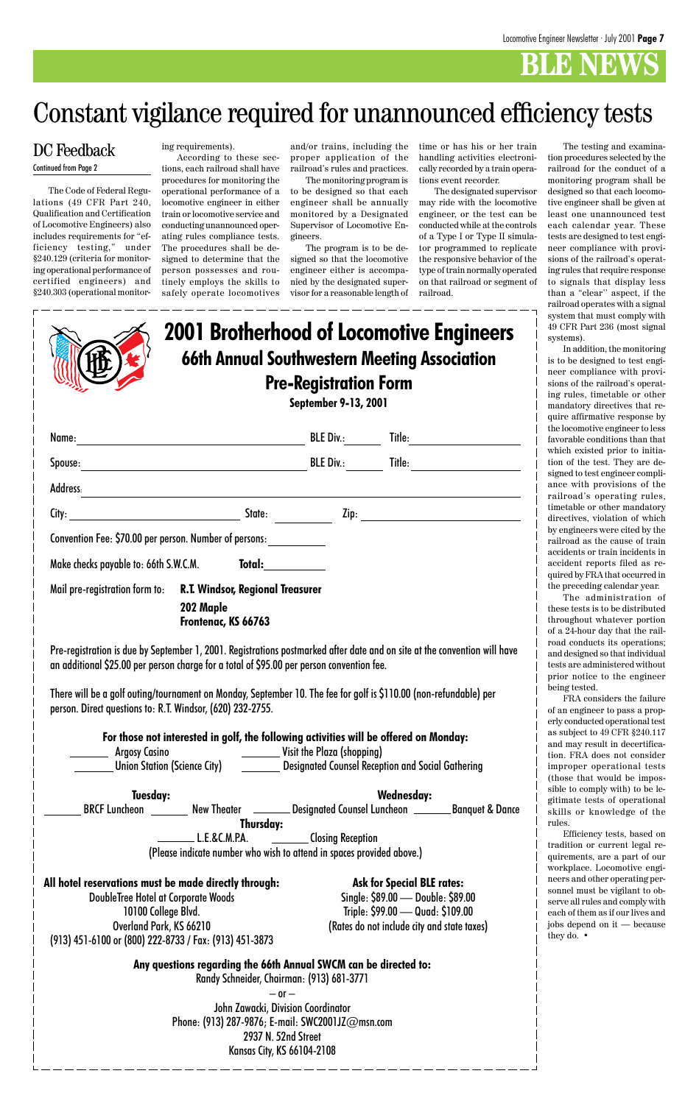**Tuesday: Wednesday:** BRCF Luncheon \_\_\_\_\_\_\_\_\_ New Theater \_\_\_\_\_\_\_\_\_\_ Designated Counsel Luncheon \_\_\_\_\_\_\_\_\_ Banquet & Dance

|                                                                                                                                                                                                                                | <b>2001 Brotherhood of Locomotive Engineers</b><br><b>66th Annual Southwestern Meeting Association</b><br><b>Pre-Registration Form</b><br><b>September 9-13, 2001</b> |  |                                                                                                                           |  |
|--------------------------------------------------------------------------------------------------------------------------------------------------------------------------------------------------------------------------------|-----------------------------------------------------------------------------------------------------------------------------------------------------------------------|--|---------------------------------------------------------------------------------------------------------------------------|--|
|                                                                                                                                                                                                                                |                                                                                                                                                                       |  |                                                                                                                           |  |
|                                                                                                                                                                                                                                |                                                                                                                                                                       |  |                                                                                                                           |  |
| Address: Andreas Address Address Address Address Address Address Address Address Address Address Address Address Address Address Address Address Address Address Address Address Address Address Address Address Address Addre |                                                                                                                                                                       |  |                                                                                                                           |  |
|                                                                                                                                                                                                                                |                                                                                                                                                                       |  | $\textrm{City:}\begin{tabular}{ l l } \hline \textbf{City:}\end{tabular}$                                                 |  |
| Convention Fee: \$70.00 per person. Number of persons: ______________                                                                                                                                                          |                                                                                                                                                                       |  |                                                                                                                           |  |
| Make checks payable to: 66th S.W.C.M. Total:_____________                                                                                                                                                                      |                                                                                                                                                                       |  |                                                                                                                           |  |
| Mail pre-registration form to: R.T. Windsor, Regional Treasurer                                                                                                                                                                | 202 Maple<br>Frontenac, KS 66763                                                                                                                                      |  |                                                                                                                           |  |
| an additional \$25.00 per person charge for a total of \$95.00 per person convention fee.                                                                                                                                      |                                                                                                                                                                       |  | Pre-registration is due by September 1, 2001. Registrations postmarked after date and on site at the convention will have |  |
| person. Direct questions to: R.T. Windsor, (620) 232-2755.                                                                                                                                                                     |                                                                                                                                                                       |  | There will be a golf outing/tournament on Monday, September 10. The fee for golf is \$110.00 (non-refundable) per         |  |
| <b>Argosy Casino</b>                                                                                                                                                                                                           | For those not interested in golf, the following activities will be offered on Monday:<br>Visit the Plaza (shopping)<br><b>Union Station (Science City)</b>            |  | <b>Designated Counsel Reception and Social Gathering</b>                                                                  |  |

 $-$  or  $-$ John Zawacki, Division Coordinator Phone: (913) 287-9876; E-mail: SWC2001JZ@msn.com 2937 N. 52nd Street Kansas City, KS 66104-2108



(Please indicate number who wish to attend in spaces provided above.)

### **BLE NEWS**

#### **All hotel reservations must be made directly through:**

DoubleTree Hotel at Corporate Woods 10100 College Blvd. Overland Park, KS 66210 (913) 451-6100 or (800) 222-8733 / Fax: (913) 451-3873

**Ask for Special BLE rates:** Single: \$89.00 — Double: \$89.00 Triple: \$99.00 — Quad: \$109.00 (Rates do not include city and state taxes)

**Any questions regarding the 66th Annual SWCM can be directed to:** Randy Schneider, Chairman: (913) 681-3771

### Constant vigilance required for unannounced efficiency tests

### DC Feedback

The Code of Federal Regulations (49 CFR Part 240, Qualification and Certification of Locomotive Engineers) also includes requirements for "efficiency testing," under §240.129 (criteria for monitoring operational performance of certified engineers) and §240.303 (operational monitor-

#### ing requirements).

According to these sections, each railroad shall have procedures for monitoring the operational performance of a locomotive engineer in either train or locomotive service and conducting unannounced operating rules compliance tests. The procedures shall be designed to determine that the person possesses and routinely employs the skills to safely operate locomotives

and/or trains, including the proper application of the railroad's rules and practices.

The monitoring program is to be designed so that each engineer shall be annually monitored by a Designated Supervisor of Locomotive Engineers.

The program is to be designed so that the locomotive engineer either is accompanied by the designated supervisor for a reasonable length of

time or has his or her train handling activities electronically recorded by a train operations event recorder.

The designated supervisor may ride with the locomotive engineer, or the test can be conducted while at the controls of a Type I or Type II simulator programmed to replicate the responsive behavior of the type of train normally operated on that railroad or segment of railroad.

The testing and examination procedures selected by the railroad for the conduct of a monitoring program shall be designed so that each locomotive engineer shall be given at least one unannounced test each calendar year. These tests are designed to test engineer compliance with provisions of the railroad's operating rules that require response to signals that display less than a "clear'' aspect, if the railroad operates with a signal system that must comply with 49 CFR Part 236 (most signal systems).

In addition, the monitoring is to be designed to test engineer compliance with provisions of the railroad's operating rules, timetable or other mandatory directives that require affirmative response by the locomotive engineer to less favorable conditions than that which existed prior to initiation of the test. They are designed to test engineer compliance with provisions of the railroad's operating rules, timetable or other mandatory directives, violation of which by engineers were cited by the railroad as the cause of train accidents or train incidents in accident reports filed as required by FRA that occurred in the preceding calendar year.

The administration of these tests is to be distributed throughout whatever portion of a 24-hour day that the railroad conducts its operations; and designed so that individual tests are administered without prior notice to the engineer being tested.

FRA considers the failure of an engineer to pass a properly conducted operational test as subject to 49 CFR §240.117 and may result in decertification. FRA does not consider improper operational tests (those that would be impossible to comply with) to be legitimate tests of operational skills or knowledge of the rules. Efficiency tests, based on tradition or current legal requirements, are a part of our workplace. Locomotive engineers and other operating personnel must be vigilant to observe all rules and comply with each of them as if our lives and jobs depend on it — because they do. •

#### Continued from Page 2